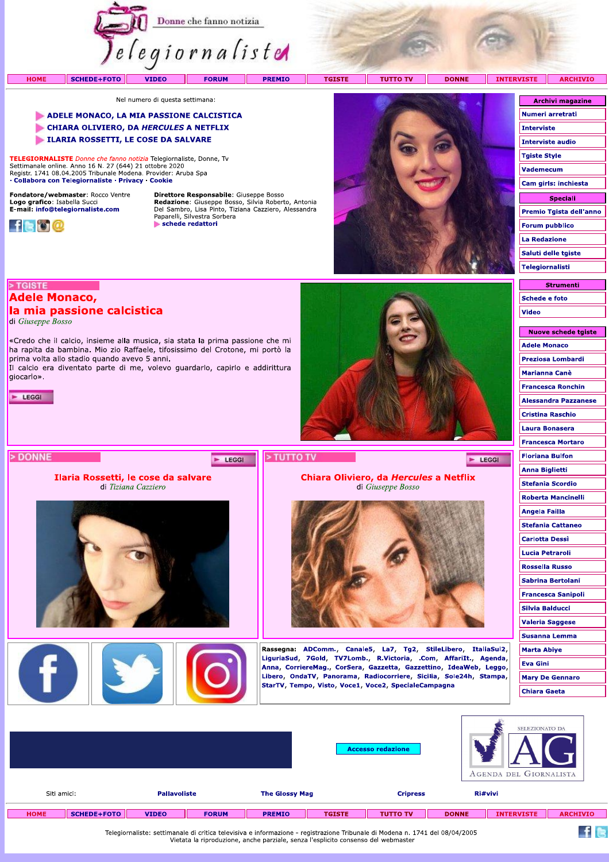

Logo grafico: Isabella Succi<br>E-mail: info@telegiornaliste.com



**Redazione:** Giuseppe Bosso, Silvia Roberto, Antonia<br>Del Sambro, Lisa Pinto, Tiziana Cazziero, Alessandra<br>Paparelli, Silvestra Sorbera schede redattori

E LEGGI

# > TGISTE

# **Adele Monaco,**

# la mia passione calcistica

di Giuseppe Bosso

«Credo che il calcio, insieme alla musica, sia stata la prima passione che mi ha rapita da bambina. Mio zio Raffaele, tifosissimo del Crotone, mi portò la prima volta allo stadio quando avevo 5 anni. Il calcio era diventato parte di me, volevo guardarlo, capirlo e addirittura

qiocarlo».

 $\blacktriangleright$  LEGGI

> DONNE



Ilaria Rossetti, le cose da salvare di Tiziana Cazziero





di Giuseppe Bosso

Chiara Oliviero, da Hercules a Netflix



Rassegna: ADComm., Canale5, La7, Tg2, StileLibero, ItaliaSul2, LiguriaSud, 7Gold, TV7Lomb., R.Victoria, .Com, AffariIt., Agenda, Anna, CorriereMag., CorSera, Gazzetta, Gazzettino, IdeaWeb, Leggo, Libero, OndaTV, Panorama, Radiocorriere, Sicilia, Sole24h, Stampa, StarTV, Tempo, Visto, Voce1, Voce2, SpecialeCampagna

| Schede e foto               |
|-----------------------------|
| <b>Video</b>                |
| <b>Nuove schede tgiste</b>  |
| <b>Adele Monaco</b>         |
| Preziosa Lombardi           |
| Marianna Canè               |
| <b>Francesca Ronchin</b>    |
| <b>Alessandra Pazzanese</b> |
| <b>Cristina Raschio</b>     |
| Laura Bonasera              |
| <b>Francesca Mortaro</b>    |
| <b>Floriana Bulfon</b>      |
| Anna Biglietti              |
| <b>Stefania Scordio</b>     |
| Roberta Mancinelli          |
| Angela Failla               |
| <b>Stefania Cattaneo</b>    |
| <b>Carlotta Dessi</b>       |
| Lucia Petraroli             |
| Rossella Russo              |
| Sabrina Bertolani           |
| <b>Francesca Sanipoli</b>   |
| Silvia Balducci             |
| <b>Valeria Saggese</b>      |
| Susanna Lemma               |
| Marta Abiye                 |
| <b>Eva Gini</b>             |
| <b>Mary De Gennaro</b>      |

E LEGGI

Premio Tgista dell'anno

Strumenti

**Forum pubblico La Redazione** Saluti delle tgiste Telegiornalisti

**Chiara Gaeta** 

 $f$  is

|             |                    |                     |              |                       | <b>Accesso redazione</b> |                 |              | SELEZIONATO DA<br>AGENDA DEL GIORNALISTA |                 |  |  |
|-------------|--------------------|---------------------|--------------|-----------------------|--------------------------|-----------------|--------------|------------------------------------------|-----------------|--|--|
| Siti amici: |                    | <b>Pallavoliste</b> |              | <b>The Glossy Mag</b> |                          | <b>Cripress</b> | Ri#vivi      |                                          |                 |  |  |
| <b>HOME</b> | <b>SCHEDE+FOTO</b> | <b>VIDEO</b>        | <b>FORUM</b> | <b>PREMIO</b>         | <b>TGISTE</b>            | <b>TUTTO TV</b> | <b>DONNE</b> | <b>INTERVISTE</b>                        | <b>ARCHIVIO</b> |  |  |

Telegiornaliste: settimanale di critica televisiva e informazione - registrazione Tribunale di Modena n. 1741 del 08/04/2005<br>Vietata la riproduzione, anche parziale, senza l'esplicito consenso del webmaster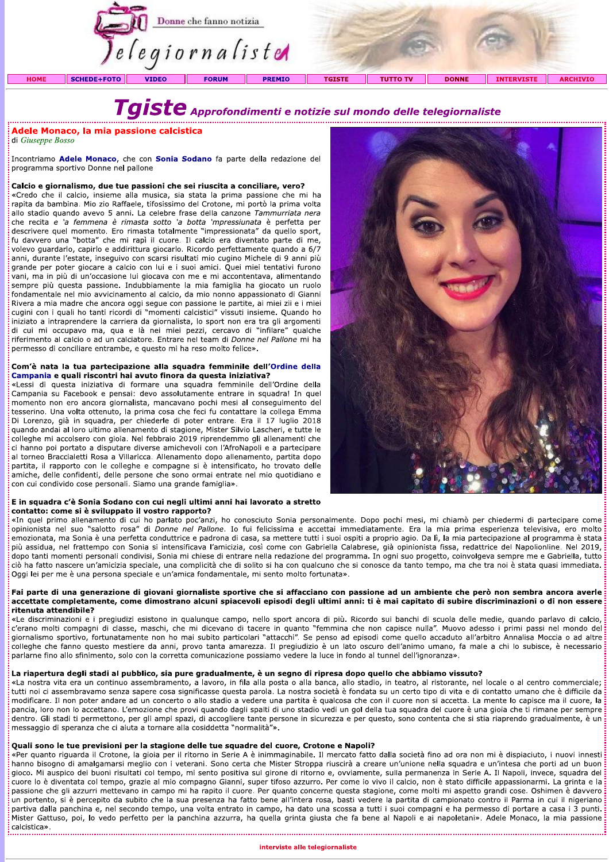

# $\textcolor{red}{\textbf{Tagiste}}$  Approfondimenti e notizie sul mondo delle telegiornaliste

# Adele Monaco, la mia passione calcistica

di Giuseppe Bosso

Incontriamo Adele Monaco, che con Sonia Sodano fa parte della redazione del programma sportivo Donne nel pallone

#### Calcio e giornalismo, due tue passioni che sei riuscita a conciliare, vero?

«Credo che il calcio, insieme alla musica, sia stata la prima passione che mi ha rapita da bambina. Mio zio Raffaele, tifosissimo del Crotone, mi portò la prima volta allo stadio quando avevo 5 anni. La celebre frase della canzone Tammurriata nera che recita e 'a femmena è rimasta sotto 'a botta 'mpressiunata è perfetta per descrivere quel momento. Ero rimasta totalmente "impressionata" da quello sport, fu davvero una "botta" che mi rapì il cuore. Il calcio era diventato parte di me, volevo guardarlo, capirlo e addirittura giocarlo. Ricordo perfettamente quando a 6/7 anni, durante l'estate, inseguivo con scarsi risultati mio cugino Michele di 9 anni più grande per poter giocare a calcio con lui e i suoi amici. Quei miei tentativi furono vani, ma in più di un'occasione lui giocava con me e mi accontentava, alimentando sempre più questa passione. Indubbiamente la mia famiglia ha giocato un ruolo fondamentale nel mio avvicinamento al calcio, da mio nonno appassionato di Gianni Rivera a mia madre che ancora oggi segue con passione le partite, ai miei zii e i miei cugini con i quali ho tanti ricordi di "momenti calcistici" vissuti insieme. Quando ho iniziato a intraprendere la carriera da giornalista, lo sport non era tra gli argomenti di cui mi occupavo ma, qua e là nei miei pezzi, cercavo di "infilare" qualche riferimento al calcio o ad un calciatore. Entrare nel team di Donne nel Pallone mi ha permesso di conciliare entrambe, e questo mi ha reso molto felice».

#### Com'è nata la tua partecipazione alla squadra femminile dell'Ordine della Campania e quali riscontri hai avuto finora da questa iniziativa?

«Lessi di questa iniziativa di formare una squadra femminile dell'Ordine della Campania su Facebook e pensai: devo assolutamente entrare in squadra! In quel momento non ero ancora giornalista, mancavano pochi mesi al conseguimento del tesserino. Una volta ottenuto, la prima cosa che feci fu contattare la collega Emma Di Lorenzo, già in squadra, per chiederle di poter entrare. Era il 17 luglio 2018 quando andai al loro ultimo allenamento di stagione, Mister Silvio Lascheri, e tutte le colleghe mi accolsero con gioia. Nel febbraio 2019 riprendemmo gli allenamenti che ci hanno poi portato a disputare diverse amichevoli con l'AfroNapoli e a partecipare al torneo Braccialetti Rosa a Villaricca. Allenamento dopo allenamento, partita dopo partita, il rapporto con le colleghe e compagne si è intensificato, ho trovato delle amiche, delle confidenti, delle persone che sono ormai entrate nel mio quotidiano e con cui condivido cose personali. Siamo una grande famiglia».

#### E in squadra c'è Sonia Sodano con cui negli ultimi anni hai lavorato a stretto contatto: come si è sviluppato il vostro rapporto?

«In quel primo allenamento di cui ho parlato poc'anzi, ho conosciuto Sonia personalmente. Dopo pochi mesi, mi chiamò per chiedermi di partecipare come opinionista nel suo "salotto rosa" di Donne nel Pallone. Io fui felicissima e accettai immediatamente. Era la mia prima esperienza televisiva, ero molto emozionata, ma Sonia è una perfetta conduttrice e padrona di casa, sa mettere tutti i suoi ospiti a proprio agio. Da lì, la mia partecipazione al programma è stata più assidua, nel frattempo con Sonia si intensificava l'amicizia, così come con Gabriella Calabrese, già opinionista fissa, redattrice del Napolionline. Nel 2019, dopo tanti momenti personali condivisi, Sonia mi chiese di entrare nella redazione del programma. In ogni suo progetto, coinvolgeva sempre me e Gabriella, tutto ciò ha fatto nascere un'amicizia speciale, una complicità che di solito si ha con qualcuno che si conosce da tanto tempo, ma che tra noi è stata quasi immediata. Oggi lei per me è una persona speciale e un'amica fondamentale, mi sento molto fortunata».

#### Fai parte di una generazione di giovani giornaliste sportive che si affacciano con passione ad un ambiente che però non sembra ancora averle accettate completamente, come dimostrano alcuni spiacevoli episodi degli ultimi anni: ti è mai capitato di subire discriminazioni o di non essere ritenuta attendibile?

«Le discriminazioni e i pregiudizi esistono in qualunque campo, nello sport ancora di più. Ricordo sui banchi di scuola delle medie, quando parlavo di calcio, c'erano molti compagni di classe, maschi, che mi dicevano di tacere in quanto "femmina che non capisce nulla". Muovo adesso i primi passi nel mondo del giornalismo sportivo, fortunatamente non ho mai subito particolari "attacchi". Se penso ad episodi come quello accaduto all'arbitro Annalisa Moccia o ad altre colleghe che fanno questo mestiere da anni, provo tanta amarezza. Il pregiudizio è un lato oscuro dell'animo umano, fa male a chi lo subisce, è necessario parlarne fino allo sfinimento, solo con la corretta comunicazione possiamo vedere la luce in fondo al tunnel dell'ignoranza».

## La riapertura degli stadi al pubblico, sia pure gradualmente, è un segno di ripresa dopo quello che abbiamo vissuto?

«La nostra vita era un continuo assembramento, a lavoro, in fila alla posta o alla banca, allo stadio, in teatro, al ristorante, nel locale o al centro commerciale; tutti noi ci assembravamo senza sapere cosa significasse questa parola. La nostra società è fondata su un certo tipo di vita e di contatto umano che è difficile da modificare. Il non poter andare ad un concerto o allo stadio a vedere una partita è qualcosa che con il cuore non si accetta. La mente lo capisce ma il cuore, la pancia, loro non lo accettano. L'emozione che provi quando dagli spalti di uno stadio vedi un gol della tua squadra del cuore è una gioia che ti rimane per sempre dentro. Gli stadi ti permettono, per gli ampi spazi, di accogliere tante persone in sicurezza e per questo, sono contenta che si stia riaprendo gradualmente, è un messaggio di speranza che ci aiuta a tornare alla cosiddetta "normalità"».

## Quali sono le tue previsioni per la stagione delle tue squadre del cuore, Crotone e Napoli?

«Per quanto riguarda il Crotone, la gioia per il ritorno in Serie A è inimmaginabile. Il mercato fatto dalla società fino ad ora non mi è dispiaciuto, i nuovi innesti hanno bisogno di amalgamarsi meglio con i veterani. Sono certa che Mister Stroppa riuscirà a creare un'unione nella squadra e un'intesa che porti ad un buon gioco. Mi auspico dei buoni risultati col tempo, mi sento positiva sul girone di ritorno e, ovviamente, sulla permanenza in Serie A. Il Napoli, invece, squadra del cuore lo è diventata col tempo, grazie al mio compagno Gianni, super tifoso azzurro. Per come io vivo il calcio, non è stato difficile appassionarmi. La grinta e la passione che gli azzurri mettevano in campo mi ha rapito il cuore. Per quanto concerne questa stagione, come molti mi aspetto grandi cose. Oshimen è davvero un portento, si è percepito da subito che la sua presenza ha fatto bene all'intera rosa, basti vedere la partita di campionato contro il Parma in cui il nigeriano partiva dalla panchina e, nel secondo tempo, una volta entrato in campo, ha dato una scossa a tutti i suoi compagni e ha permesso di portare a casa i 3 punti. Mister Gattuso, poi, lo vedo perfetto per la panchina azzurra, ha quella grinta giusta che fa bene al Napoli e ai napoletani». Adele Monaco, la mia passione: calcistica». 

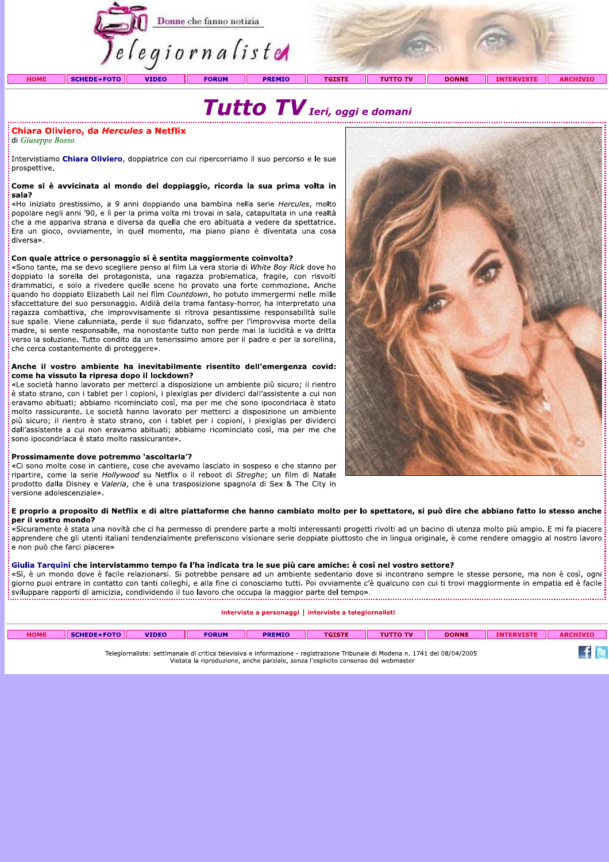



## Chiara Oliviero, da Hercules a Netflix

di Giuseppe Bosso

Intervistiamo Chiara Oliviero, doppiatrice con cui ripercorriamo il suo percorso e le sue prospettive.

#### Come si è avvicinata al mondo del doppiaggio, ricorda la sua prima volta in sala?

«Ho iniziato prestissimo, a 9 anni doppiando una bambina nella serie Hercules, molto popolare negli anni '90, e lì per la prima volta mi trovai in sala, catapultata in una realtà che a me appariva strana e diversa da quella che ero abituata a vedere da spettatrice. Era un gioco, ovviamente, in quel momento, ma piano piano è diventata una cosa diversa».

#### Con quale attrice o personaggio si è sentita maggiormente coinvolta?

«Sono tante, ma se devo scegliere penso al film La vera storia di White Boy Rick dove ho doppiato la sorella del protagonista, una ragazza problematica, fragile, con risvolti drammatici, e solo a rivedere quelle scene ho provato una forte commozione. Anche quando ho doppiato Elizabeth Lail nel film Countdown, ho potuto immergermi nelle mille sfaccettature del suo personaggio. Aldilà della trama fantasy-horror, ha interpretato una ragazza combattiva, che improvvisamente si ritrova pesantissime responsabilità sulle sue spalle. Viene calunniata, perde il suo fidanzato, soffre per l'improvvisa morte della madre, si sente responsabile, ma nonostante tutto non perde mai la lucidità e va dritta verso la soluzione. Tutto condito da un tenerissimo amore per il padre e per la sorellina, che cerca costantemente di proteggere».

#### Anche il vostro ambiente ha inevitabilmente risentito dell'emergenza covid: come ha vissuto la ripresa dopo il lockdown?

«Le società hanno lavorato per metterci a disposizione un ambiente più sicuro; il rientro è stato strano, con i tablet per i copioni, i plexiglas per dividerci dall'assistente a cui non eravamo abituati; abbiamo ricominciato così, ma per me che sono ipocondriaca è stato molto rassicurante. Le società hanno lavorato per metterci a disposizione un ambiente più sicuro; il rientro è stato strano, con i tablet per i copioni, i plexiglas per dividerci dall'assistente a cui non eravamo abituati; abbiamo ricominciato così, ma per me che sono ipocondriaca è stato molto rassicurante».

#### Prossimamente dove potremmo 'ascoltarla'?

«Ci sono molte cose in cantiere, cose che avevamo lasciato in sospeso e che stanno per ripartire, come la serie Hollywood su Netflix o il reboot di Streghe; un film di Natale prodotto dalla Disney e Valeria, che è una trasposizione spagnola di Sex & The City in versione adolescenziale».

#### E proprio a proposito di Netflix e di altre piattaforme che hanno cambiato molto per lo spettatore, si può dire che abbiano fatto lo stesso anche per il vostro mondo?

«Sicuramente è stata una novità che ci ha permesso di prendere parte a molti interessanti progetti rivolti ad un bacino di utenza molto più ampio. E mi fa piacere apprendere che gli utenti italiani tendenzialmente preferiscono visionare serie doppiate piuttosto che in lingua originale, è come rendere omaggio al nostro lavoro e non può che farci piacere».

#### Giulia Tarquini che intervistammo tempo fa l'ha indicata tra le sue più care amiche: è così nel vostro settore?

«Sì, è un mondo dove è facile relazionarsi. Si potrebbe pensare ad un ambiente sedentario dove si incontrano sempre le stesse persone, ma non è così, ogni giorno puoi entrare in contatto con tanti colleghi, e alla fine ci conosciamo tutti. Poi ovviamente c'è qualcuno con cui ti trovi maggiormente in empatia ed è facile: l'anormo publicante in contacto con tanà concentra con une si concernante come parte del tempo».<br>I sviluppare rapporti di amicizia, condividendo il tuo lavoro che occupa la maggior parte del tempo». 

#### interviste a personaggi | interviste a telegiornalisti

| <b>HOME</b> | <b>SCHEDE+FOTO</b> | <b>VIDEO</b> | <b>FORUM</b> | <b>PREMIO</b> | <b>TGISTE</b> | <b>TUTTO TV</b> | <b>DONNE</b> | <b>TNT</b><br><b><i>CERVISTE</i></b> | ARC<br>CHIVIC |
|-------------|--------------------|--------------|--------------|---------------|---------------|-----------------|--------------|--------------------------------------|---------------|
|             |                    |              |              |               |               |                 |              |                                      |               |

Telegiornaliste: settimanale di critica televisiva e informazione - registrazione Tribunale di Modena n. 1741 del 08/04/2005 Vietata la riproduzione, anche parziale, senza l'esplicito consenso del webmaster